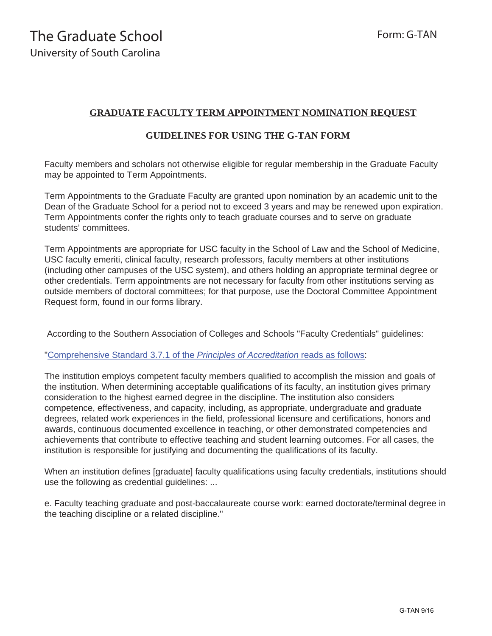## **GRADUATE FACULTY TERM APPOINTMENT NOMINATION REQUEST**

## **GUIDELINES FOR USING THE G-TAN FORM**

Faculty members and scholars not otherwise eligible for regular membership in the Graduate Faculty may be appointed to Term Appointments.

Term Appointments to the Graduate Faculty are granted upon nomination by an academic unit to the Dean of the Graduate School for a period not to exceed 3 years and may be renewed upon expiration. Term Appointments confer the rights only to teach graduate courses and to serve on graduate students' committees.

Term Appointments are appropriate for USC faculty in the School of Law and the School of Medicine, USC faculty emeriti, clinical faculty, research professors, faculty members at other institutions (including other campuses of the USC system), and others holding an appropriate terminal degree or other credentials. Term appointments are not necessary for faculty from other institutions serving as outside members of doctoral committees; for that purpose, use the Doctoral Committee Appointment Request form, found in our forms library.

According to the Southern Association of Colleges and Schools "Faculty Credentials" guidelines:

"Comprehensive Standard 3.7.1 of the *[Principles of Accreditation](http://www.sacscoc.org/pdf/081705/faculty%20credentials.pdf)* reads as follows:

The institution employs competent faculty members qualified to accomplish the mission and goals of the institution. When determining acceptable qualifications of its faculty, an institution gives primary consideration to the highest earned degree in the discipline. The institution also considers competence, effectiveness, and capacity, including, as appropriate, undergraduate and graduate degrees, related work experiences in the field, professional licensure and certifications, honors and awards, continuous documented excellence in teaching, or other demonstrated competencies and achievements that contribute to effective teaching and student learning outcomes. For all cases, the institution is responsible for justifying and documenting the qualifications of its faculty.

When an institution defines [graduate] faculty qualifications using faculty credentials, institutions should use the following as credential guidelines: ...

e. Faculty teaching graduate and post-baccalaureate course work: earned doctorate/terminal degree in the teaching discipline or a related discipline."